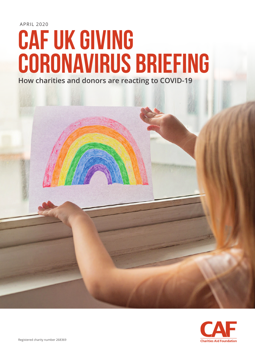APRIL 2020

# **cAF UK Giving coronavirus briefing**

**How charities and donors are reacting to COVID-19**



Registered charity number 268369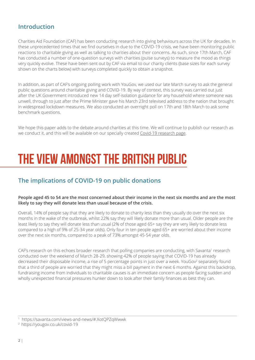### **Introduction**

Charities Aid Foundation (CAF) has been conducting research into giving behaviours across the UK for decades. In these unprecedented times that we find ourselves in due to the COVID-19 crisis, we have been monitoring public reactions to charitable giving as well as talking to charities about their concerns. As such, since 17th March, CAF has conducted a number of one-question surveys with charities (pulse surveys) to measure the mood as things very quickly evolve. These have been sent out by CAF via email to our charity clients (base sizes for each survey shown on the charts below) with surveys completed quickly to obtain a snapshot.

In addition, as part of CAF's ongoing polling work with YouGov, we used our late March survey to ask the general public questions around charitable giving and COVID-19. By way of context, this survey was carried out just after the UK Government introduced new 14 day self-isolation guidance for any household where someone was unwell, through to just after the Prime Minister gave his March 23rd televised address to the nation that brought in widespread lockdown measures. We also conducted an overnight poll on 17th and 18th March to ask some benchmark questions.

We hope this paper adds to the debate around charities at this time. We will continue to publish our research as we conduct it, and this will be available on our specially created [Covid-19 research page](http://www.cafonline.org/research/coronavirus-and-charitable-giving).

# **The view amongst the British public**

# **The implications of COVID-19 on public donations**

### **People aged 45 to 54 are the most concerned about their income in the next six months and are the most likely to say they will donate less than usual because of the crisis.**

Overall, 14% of people say that they are likely to donate to charity less than they usually do over the next six months in the wake of the outbreak, whilst 22% say they will likely donate more than usual. Older people are the least likely to say they will donate less than usual (2% of those aged 65+ say they are very likely to donate less compared to a high of 9% of 25-34 year olds). Only four in ten people aged 65+ are worried about their income over the next six months, compared to a peak of 73% amongst 45-54 year olds.

CAF's research on this echoes broader research that polling companies are conducting, with Savanta<sup>1</sup> research conducted over the weekend of March 28-29, showing 42% of people saying that COVID-19 has already decreased their disposable income, a rise of 5 percentage points in just over a week. YouGov<sup>2</sup> separately found that a third of people are worried that they might miss a bill payment in the next 6 months. Against this backdrop, fundraising income from individuals to charitable causes is an immediate concern as people facing sudden and wholly unexpected financial pressures hunker down to look after their family finances as best they can.

1 <https://savanta.com/views-and-news/#.XotQPZqWwwk>

<sup>2</sup> <https://yougov.co.uk/covid-19>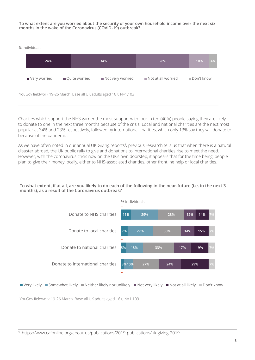### **To what extent are you worried about the security of your own household income over the next six months in the wake of the Coronavirus (COVID-19) outbreak?**

% individuals



Charities which support the NHS garner the most support with four in ten (40%) people saying they are likely to donate to one in the next three months because of the crisis. Local and national charities are the next most popular at 34% and 23% respectively, followed by international charities, which only 13% say they will donate to because of the pandemic.

As we have often noted in our annual UK Giving reports<sup>3</sup>, previous research tells us that when there is a natural disaster abroad, the UK public rally to give and donations to international charities rise to meet the need. However, with the coronavirus crisis now on the UK's own doorstep, it appears that for the time being, people plan to give their money locally, either to NHS-associated charities, other frontline help or local charities.

### **To what extent, if at all, are you likely to do each of the following in the near-future (i.e. in the next 3 months), as a result of the Coronavirus outbreak?**





YouGov fieldwork 19-26 March. Base all UK adults aged 16+; N=1,103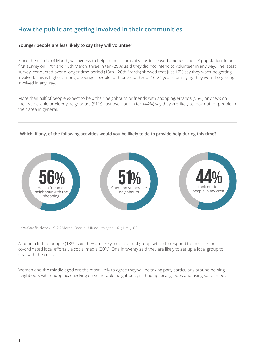# **How the public are getting involved in their communities**

### **Younger people are less likely to say they will volunteer**

Since the middle of March, willingness to help in the community has increased amongst the UK population. In our first survey on 17th and 18th March, three in ten (29%) said they did not intend to volunteer in any way. The latest survey, conducted over a longer time period (19th - 26th March) showed that just 17% say they won't be getting involved. This is higher amongst younger people, with one quarter of 16-24 year olds saying they won't be getting involved in any way.

More than half of people expect to help their neighbours or friends with shopping/errands (56%) or check on their vulnerable or elderly neighbours (51%). Just over four in ten (44%) say they are likely to look out for people in their area in general.

### **Which, if any, of the following activities would you be likely to do to provide help during this time?**



YouGov fieldwork 19-26 March. Base all UK adults aged 16+; N=1,103

Around a fifth of people (18%) said they are likely to join a local group set up to respond to the crisis or co-ordinated local efforts via social media (20%). One in twenty said they are likely to set up a local group to deal with the crisis.

Women and the middle aged are the most likely to agree they will be taking part, particularly around helping neighbours with shopping, checking on vulnerable neighbours, setting up local groups and using social media.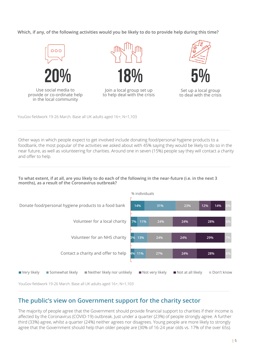**Which, if any, of the following activities would you be likely to do to provide help during this time?**







Set up a local group to deal with the crisis

YouGov fieldwork 19-26 March. Base all UK adults aged 16+; N=1,103

Other ways in which people expect to get involved include donating food/personal hygiene products to a foodbank, the most popular of the activities we asked about with 45% saying they would be likely to do so in the near future, as well as volunteering for charities. Around one in seven (15%) people say they will contact a charity and offer to help.

### **To what extent, if at all, are you likely to do each of the following in the near-future (i.e. in the next 3 months), as a result of the Coronavirus outbreak?**



### **The public's view on Government support for the charity sector**

The majority of people agree that the Government should provide financial support to charities if their income is affected by the Coronavirus (COVID-19) outbreak. Just under a quarter (23%) of people strongly agree. A further third (33%) agree, whilst a quarter (24%) neither agrees nor disagrees. Young people are more likely to strongly agree that the Government should help than older people are (30% of 16-24 year olds vs. 17% of the over 65s).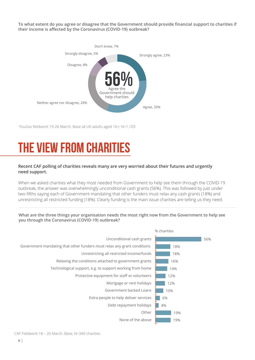**To what extent do you agree or disagree that the Government should provide financial support to charities if their income is affected by the Coronavirus (COVID-19) outbreak?**



YouGov fieldwork 19-26 March. Base all UK adults aged 16+; N=1,103

# **The view from charities**

### **Recent CAF polling of charities reveals many are very worried about their futures and urgently need support.**

When we asked charities what they most needed from Government to help see them through the COVID-19 outbreak, the answer was overwhelmingly unconditional cash grants (56%). This was followed by just under two-fifths saying each of Government mandating that other funders must relax any cash grants (18%) and unrestricting all restricted funding (18%). Clearly funding is the main issue charities are telling us they need.

**What are the three things your organisation needs the most right now from the Government to help see you through the Coronavirus (COVID-19) outbreak?**

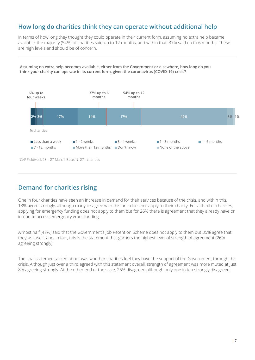### **How long do charities think they can operate without additional help**

In terms of how long they thought they could operate in their current form, assuming no extra help became available, the majority (54%) of charities said up to 12 months, and within that, 37% said up to 6 months. These are high levels and should be of concern.





### **Demand for charities rising**

One in four charities have seen an increase in demand for their services because of the crisis, and within this, 13% agree strongly, although many disagree with this or it does not apply to their charity. For a third of charities, applying for emergency funding does not apply to them but for 26% there is agreement that they already have or intend to access emergency grant funding.

Almost half (47%) said that the Government's Job Retention Scheme does not apply to them but 35% agree that they will use it and, in fact, this is the statement that garners the highest level of strength of agreement (26% agreeing strongly).

The final statement asked about was whether charities feel they have the support of the Government through this crisis. Although just over a third agreed with this statement overall, strength of agreement was more muted at just 8% agreeing strongly. At the other end of the scale, 25% disagreed although only one in ten strongly disagreed.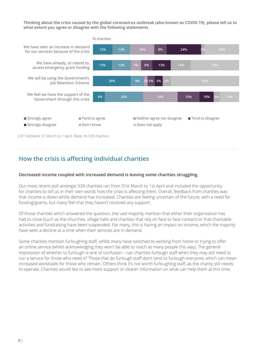**Thinking about the crisis caused by the global coronavirus outbreak (also known as COVID-19), please tell us to what extent you agree or disagree with the following statements.**



### **How the crisis is affecting individual charities**

### **Decreased income coupled with increased demand is leaving some charities struggling.**

Our most recent poll amongst 539 charities ran from 31st March to 1st April and included the opportunity for charities to tell us in their own words how the crisis is affecting them. Overall, feedback from charities was that income is down whilst demand has increased. Charities are feeling uncertain of the future, with a need for funding/grants, but many feel that they haven't received any support.

Of those charities which answered the question, the vast majority mention that either their organisation has had to close (such as the churches, village halls and charities that rely on face to face contact) or that charitable activities and fundraising have been suspended. For many, this is having an impact on income, which the majority have seen a decline at a time when their services are in demand.

Some charities mention furloughing staff, whilst many have switched to working from home or trying to offer an online service (whilst acknowledging they won't be able to reach as many people this way). The general impression of whether to furlough is one of confusion – can charities furlough staff when they may still need to run a service for those who need it? Those that do furlough staff don't tend to furlough everyone, which can mean increased workloads for those who remain. Others think it's not worth furloughing staff, as the charity still needs to operate. Charities would like to see more support or clearer information on what can help them at this time.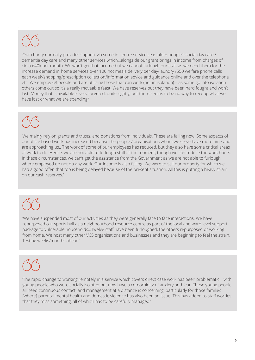.

'Our charity normally provides support via some in-centre services e.g. older people's social day care / dementia day care and many other services which…alongside our grant brings in income from charges of circa £40k per month. We won't get that income but we cannot furlough our staff as we need them for the increase demand in home services over 100 hot meals delivery per day/laundry /550 welfare phone calls each week/shopping/prescription collection/Information advice and guidance online and over the telephone, etc. We employ 68 people and are utilising those that can work (not in isolation) – as some go into isolation others come out so it's a really moveable feast. We have reserves but they have been hard fought and won't last. Money that is available is very targeted, quite rightly, but there seems to be no way to recoup what we have lost or what we are spending.'

'We mainly rely on grants and trusts, and donations from individuals. These are falling now. Some aspects of our office based work has increased because the people / organisations whom we serve have more time and are approaching us.. The work of some of our employees has reduced, but they also have some critical areas of work to do. Hence, we are not able to furlough staff at the moment, though we can reduce the work hours. In these circumstances, we can't get the assistance from the Government as we are not able to furlough where employed do not do any work. Our income is also falling. We were to sell our property for which we had a good offer, that too is being delayed because of the present situation. All this is putting a heavy strain on our cash reserves.'

'We have suspended most of our activities as they were generally face to face interactions. We have repurposed our sports hall as a neighbourhood resource centre as part of the local and ward level support package to vulnerable households…Twelve staff have been furloughed; the others repurposed or working from home. We host many other VCS organisations and businesses and they are beginning to feel the strain. Testing weeks/months ahead.'

'The rapid change to working remotely in a service which covers direct case work has been problematic… with young people who were socially isolated but now have a comorbidity of anxiety and fear. These young people all need continuous contact, and management at a distance is concerning, particularly for those families [where] parental mental health and domestic violence has also been an issue. This has added to staff worries that they miss something, all of which has to be carefully managed.'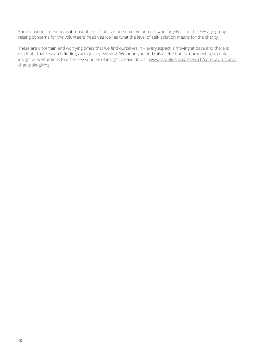Some charities mention that most of their staff is made up of volunteers who largely fall in the 70+ age group, raising concerns for the volunteers' health as well as what the level of self-isolation means for the charity.

These are uncertain and worrying times that we find ourselves in – every aspect is moving at pace and there is no doubt that research findings are quickly evolving. We hope you find this useful but for our most up to date insight as well as links to other key sources of insight, please do visit [www.cafonline.org/research/coronavirus-and](http://www.cafonline.org/research/coronavirus-and-charitable-giving)[charitable-giving.](http://www.cafonline.org/research/coronavirus-and-charitable-giving)